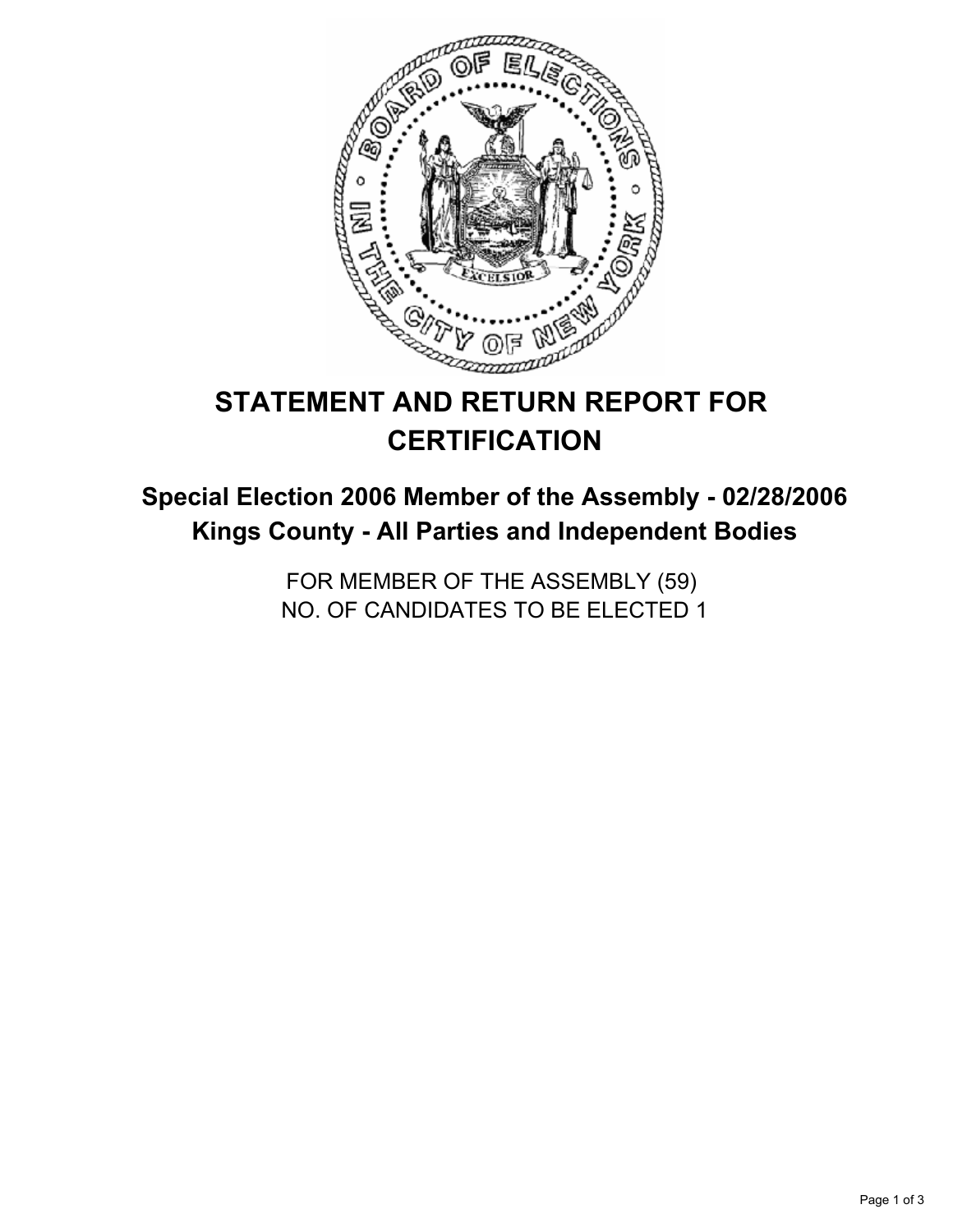

# **STATEMENT AND RETURN REPORT FOR CERTIFICATION**

## **Special Election 2006 Member of the Assembly - 02/28/2006 Kings County - All Parties and Independent Bodies**

FOR MEMBER OF THE ASSEMBLY (59) NO. OF CANDIDATES TO BE ELECTED 1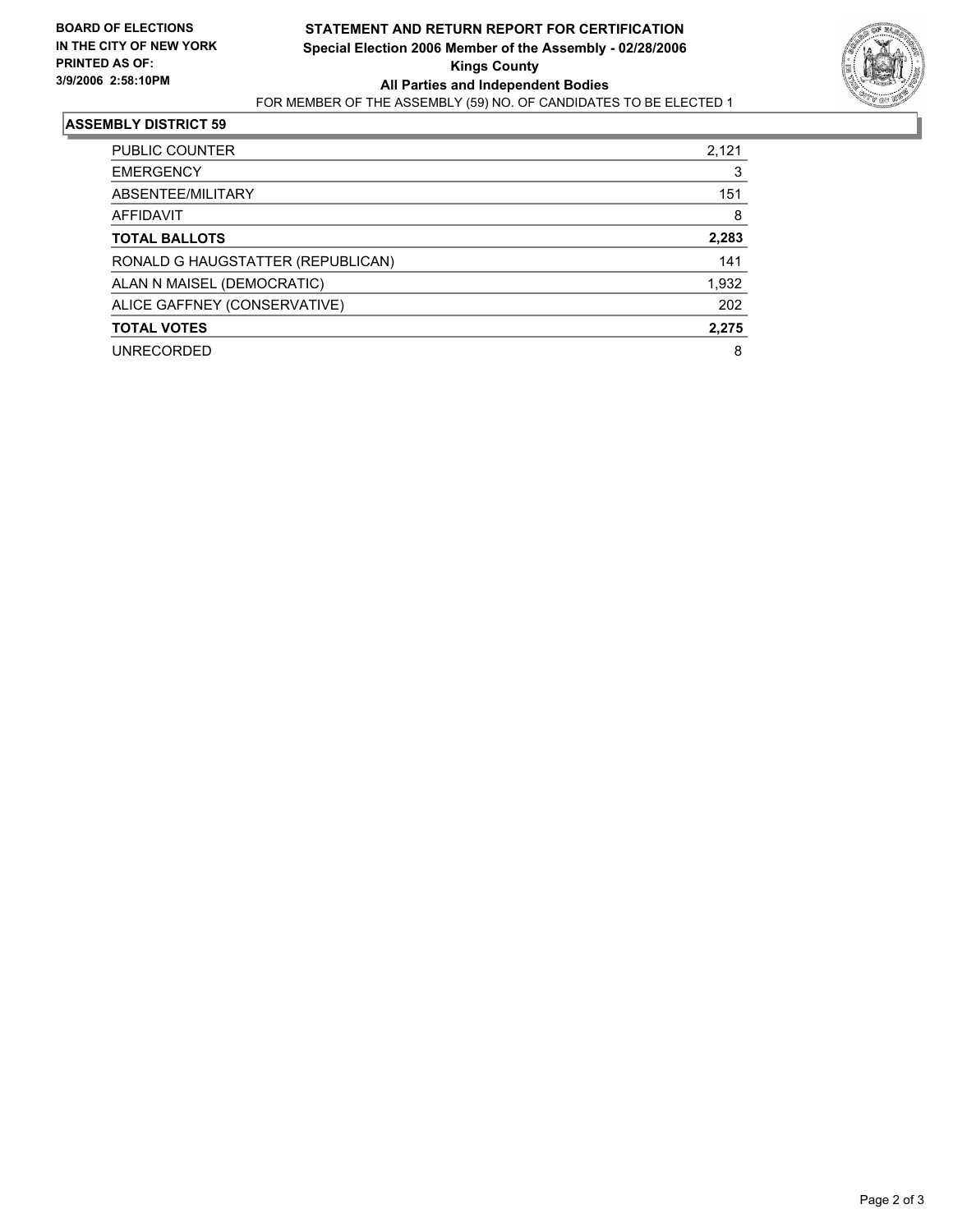

#### **ASSEMBLY DISTRICT 59**

| PUBLIC COUNTER                    | 2,121 |
|-----------------------------------|-------|
| <b>EMERGENCY</b>                  |       |
| ABSENTEE/MILITARY                 | 151   |
| AFFIDAVIT                         | 8     |
| <b>TOTAL BALLOTS</b>              | 2,283 |
| RONALD G HAUGSTATTER (REPUBLICAN) | 141   |
| ALAN N MAISEL (DEMOCRATIC)        | 1,932 |
| ALICE GAFFNEY (CONSERVATIVE)      | 202   |
| <b>TOTAL VOTES</b>                | 2,275 |
| <b>UNRECORDED</b>                 | 8     |